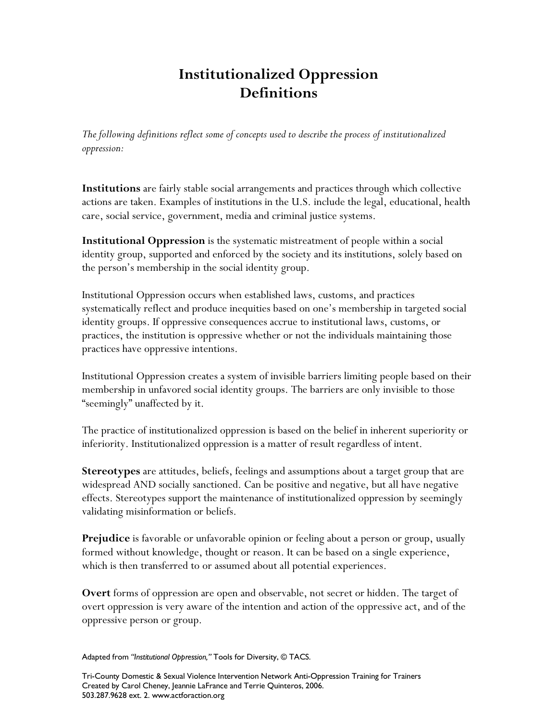## **Institutionalized Oppression Definitions**

*The following definitions reflect some of concepts used to describe the process of institutionalized oppression:*

**Institutions** are fairly stable social arrangements and practices through which collective actions are taken. Examples of institutions in the U.S. include the legal, educational, health care, social service, government, media and criminal justice systems.

**Institutional Oppression** is the systematic mistreatment of people within a social identity group, supported and enforced by the society and its institutions, solely based on the person's membership in the social identity group.

Institutional Oppression occurs when established laws, customs, and practices systematically reflect and produce inequities based on one's membership in targeted social identity groups. If oppressive consequences accrue to institutional laws, customs, or practices, the institution is oppressive whether or not the individuals maintaining those practices have oppressive intentions.

Institutional Oppression creates a system of invisible barriers limiting people based on their membership in unfavored social identity groups. The barriers are only invisible to those "seemingly" unaffected by it.

The practice of institutionalized oppression is based on the belief in inherent superiority or inferiority. Institutionalized oppression is a matter of result regardless of intent.

**Stereotypes** are attitudes, beliefs, feelings and assumptions about a target group that are widespread AND socially sanctioned. Can be positive and negative, but all have negative effects. Stereotypes support the maintenance of institutionalized oppression by seemingly validating misinformation or beliefs.

**Prejudice** is favorable or unfavorable opinion or feeling about a person or group, usually formed without knowledge, thought or reason. It can be based on a single experience, which is then transferred to or assumed about all potential experiences.

**Overt** forms of oppression are open and observable, not secret or hidden. The target of overt oppression is very aware of the intention and action of the oppressive act, and of the oppressive person or group.

Adapted from "Institutional Oppression," Tools for Diversity, © TACS.

Tri-County Domestic & Sexual Violence Intervention Network Anti-Oppression Training for Trainers Created by Carol Cheney, Jeannie LaFrance and Terrie Quinteros, 2006. 503.287.9628 ext. 2. www.actforaction.org